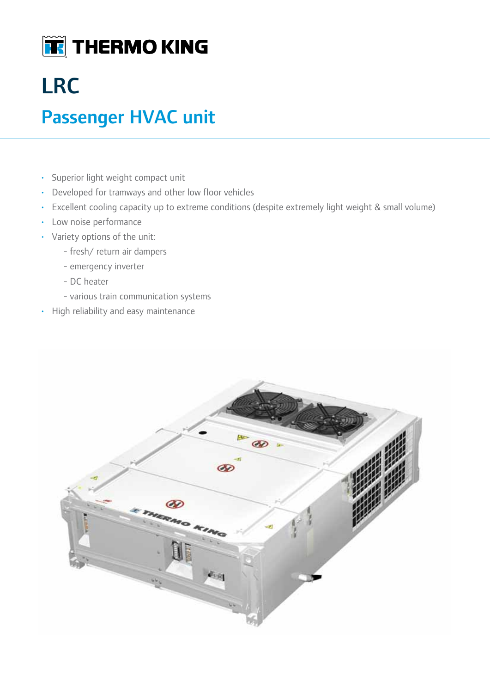

## LRC

## Passenger HVAC unit

- • Superior light weight compact unit
- Developed for tramways and other low floor vehicles
- Excellent cooling capacity up to extreme conditions (despite extremely light weight & small volume)
- Low noise performance
- Variety options of the unit:
	- fresh/ return air dampers
	- emergency inverter
	- DC heater
	- various train communication systems
- • High reliability and easy maintenance